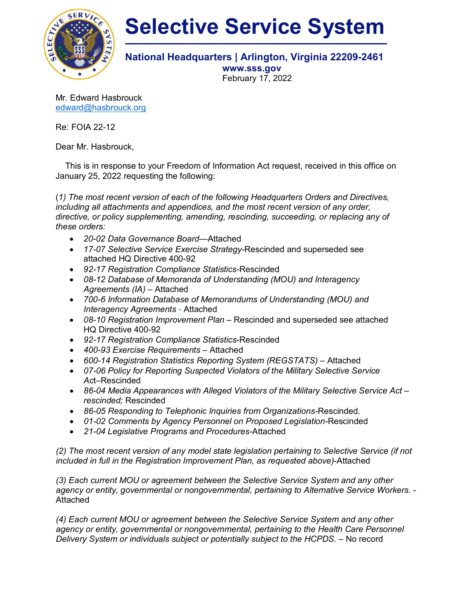

## **Selective Service System**

## **National Headquarters | Arlington, Virginia 22209-2461**

**www.sss.gov** February 17, 2022

Mr. Edward Hasbrouck [edward@hasbrouck.org](mailto:edward@hasbrouck.org)

Re: FOIA 22-12

Dear Mr. Hasbrouck,

 This is in response to your Freedom of Information Act request, received in this office on January 25, 2022 requesting the following:

(*1) The most recent version of each of the following Headquarters Orders and Directives, including all attachments and appendices, and the most recent version of any order, directive, or policy supplementing, amending, rescinding, succeeding, or replacing any of these orders:*

- *20-02 Data Governance Board—*Attached
- *17-07 Selective Service Exercise Strategy-*Rescinded and superseded see attached HQ Directive 400-92
- *92-17 Registration Compliance Statistics-*Rescinded
- *08-12 Database of Memoranda of Understanding (MOU) and Interagency Agreements (IA)* – Attached
- *700-6 Information Database of Memorandums of Understanding (MOU) and Interagency Agreements -* Attached
- *08-10 Registration Improvement Plan*  Rescinded and superseded see attached HQ Directive 400-92
- *92-17 Registration Compliance Statistics*-Rescinded
- *400-93 Exercise Requirements*  Attached
- 600-14 Registration Statistics Reporting System (REGSTATS) Attached
- *07-06 Policy for Reporting Suspected Violators of the Military Selective Service Ac*t–Rescinded
- *86-04 Media Appearances with Alleged Violators of the Military Selective Service Act – rescinded;* Rescinded
- *86-05 Responding to Telephonic Inquiries from Organizations-*Rescinded.
- *01-02 Comments by Agency Personnel on Proposed Legislation-*Rescinded
- *21-04 Legislative Programs and Procedures-*Attached

*(2) The most recent version of any model state legislation pertaining to Selective Service (if not included in full in the Registration Improvement Plan, as requested above)*-Attached

*(3) Each current MOU or agreement between the Selective Service System and any other agency or entity, governmental or nongovernmental, pertaining to Alternative Service Workers.* - Attached

*(4) Each current MOU or agreement between the Selective Service System and any other agency or entity, governmental or nongovernmental, pertaining to the Health Care Personnel Delivery System or individuals subject or potentially subject to the HCPDS. –* No record